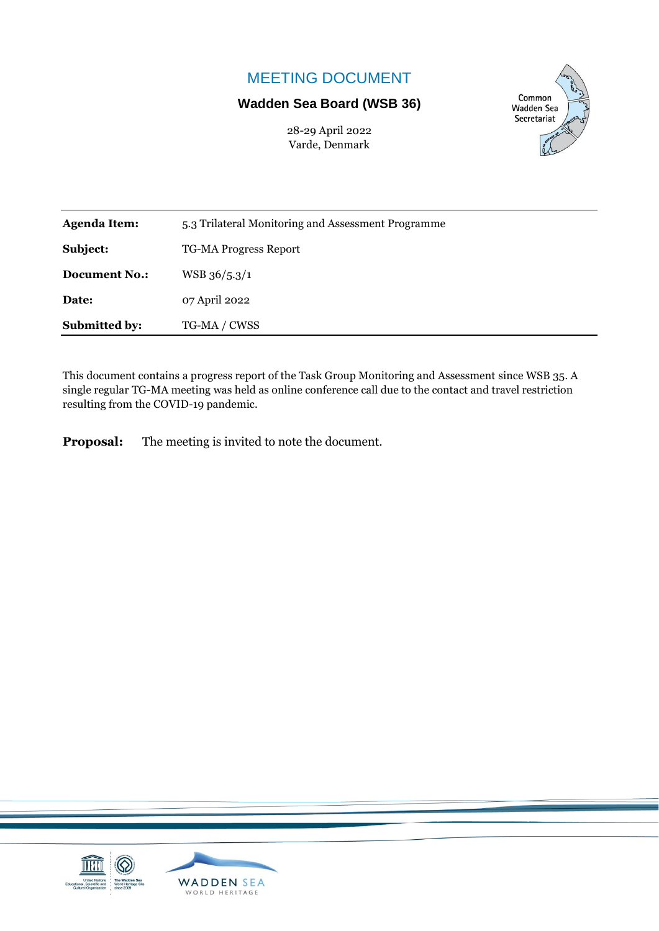# MEETING DOCUMENT

### **Wadden Sea Board (WSB 36)**

28-29 April 2022 Varde, Denmark



| <b>Agenda Item:</b>  | 5.3 Trilateral Monitoring and Assessment Programme |  |  |  |
|----------------------|----------------------------------------------------|--|--|--|
| Subject:             | <b>TG-MA Progress Report</b>                       |  |  |  |
| <b>Document No.:</b> | $WSB$ 36/5.3/1                                     |  |  |  |
| Date:                | 07 April 2022                                      |  |  |  |
| <b>Submitted by:</b> | TG-MA / CWSS                                       |  |  |  |

This document contains a progress report of the Task Group Monitoring and Assessment since WSB 35. A single regular TG-MA meeting was held as online conference call due to the contact and travel restriction resulting from the COVID-19 pandemic.

**Proposal:** The meeting is invited to note the document.

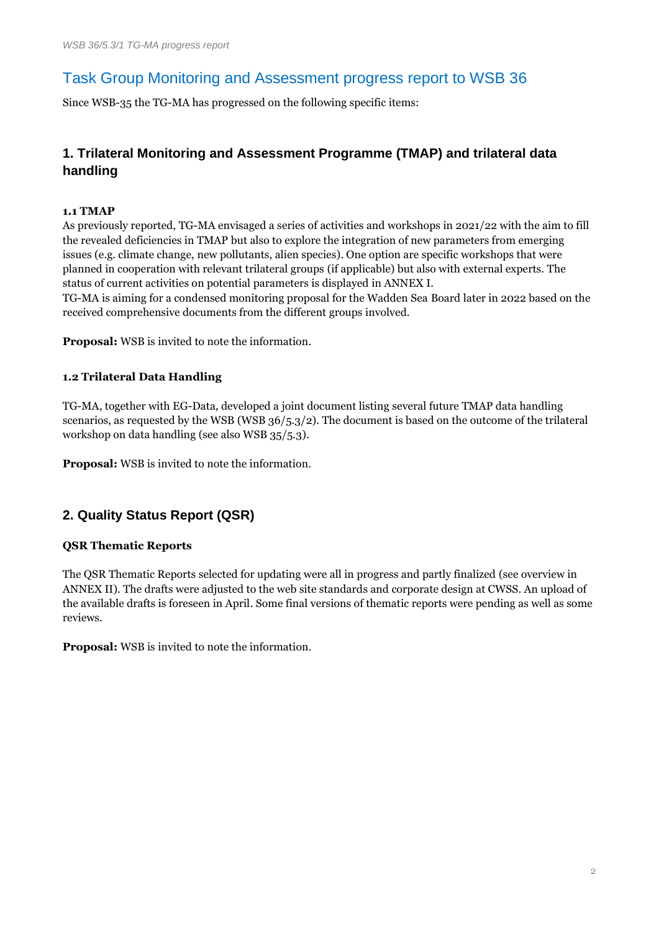## Task Group Monitoring and Assessment progress report to WSB 36

Since WSB-35 the TG-MA has progressed on the following specific items:

## **1. Trilateral Monitoring and Assessment Programme (TMAP) and trilateral data handling**

#### **1.1 TMAP**

As previously reported, TG-MA envisaged a series of activities and workshops in 2021/22 with the aim to fill the revealed deficiencies in TMAP but also to explore the integration of new parameters from emerging issues (e.g. climate change, new pollutants, alien species). One option are specific workshops that were planned in cooperation with relevant trilateral groups (if applicable) but also with external experts. The status of current activities on potential parameters is displayed in ANNEX I.

TG-MA is aiming for a condensed monitoring proposal for the Wadden Sea Board later in 2022 based on the received comprehensive documents from the different groups involved.

**Proposal:** WSB is invited to note the information.

#### **1.2 Trilateral Data Handling**

TG-MA, together with EG-Data, developed a joint document listing several future TMAP data handling scenarios, as requested by the WSB (WSB 36/5.3/2). The document is based on the outcome of the trilateral workshop on data handling (see also WSB 35/5.3).

**Proposal:** WSB is invited to note the information.

### **2. Quality Status Report (QSR)**

#### **QSR Thematic Reports**

The QSR Thematic Reports selected for updating were all in progress and partly finalized (see overview in ANNEX II). The drafts were adjusted to the web site standards and corporate design at CWSS. An upload of the available drafts is foreseen in April. Some final versions of thematic reports were pending as well as some reviews.

**Proposal:** WSB is invited to note the information.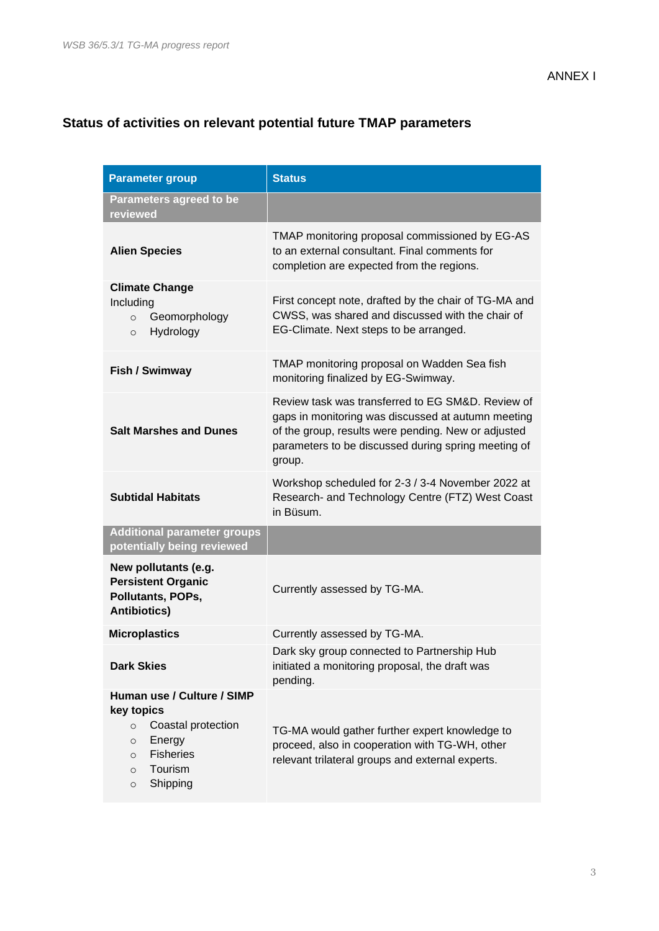# **Status of activities on relevant potential future TMAP parameters**

| <b>Parameter group</b>                                                                                                                                                     | <b>Status</b>                                                                                                                                                                                                                   |  |  |
|----------------------------------------------------------------------------------------------------------------------------------------------------------------------------|---------------------------------------------------------------------------------------------------------------------------------------------------------------------------------------------------------------------------------|--|--|
| <b>Parameters agreed to be</b><br>reviewed                                                                                                                                 |                                                                                                                                                                                                                                 |  |  |
| <b>Alien Species</b>                                                                                                                                                       | TMAP monitoring proposal commissioned by EG-AS<br>to an external consultant. Final comments for<br>completion are expected from the regions.                                                                                    |  |  |
| <b>Climate Change</b><br>Including<br>Geomorphology<br>$\Omega$<br>Hydrology<br>$\Omega$                                                                                   | First concept note, drafted by the chair of TG-MA and<br>CWSS, was shared and discussed with the chair of<br>EG-Climate. Next steps to be arranged.                                                                             |  |  |
| Fish / Swimway                                                                                                                                                             | TMAP monitoring proposal on Wadden Sea fish<br>monitoring finalized by EG-Swimway.                                                                                                                                              |  |  |
| <b>Salt Marshes and Dunes</b>                                                                                                                                              | Review task was transferred to EG SM&D, Review of<br>gaps in monitoring was discussed at autumn meeting<br>of the group, results were pending. New or adjusted<br>parameters to be discussed during spring meeting of<br>group. |  |  |
| <b>Subtidal Habitats</b>                                                                                                                                                   | Workshop scheduled for 2-3 / 3-4 November 2022 at<br>Research- and Technology Centre (FTZ) West Coast<br>in Büsum.                                                                                                              |  |  |
| <b>Additional parameter groups</b><br>potentially being reviewed                                                                                                           |                                                                                                                                                                                                                                 |  |  |
| New pollutants (e.g.<br><b>Persistent Organic</b><br>Pollutants, POPs,<br><b>Antibiotics)</b>                                                                              | Currently assessed by TG-MA.                                                                                                                                                                                                    |  |  |
| <b>Microplastics</b>                                                                                                                                                       | Currently assessed by TG-MA.                                                                                                                                                                                                    |  |  |
| <b>Dark Skies</b>                                                                                                                                                          | Dark sky group connected to Partnership Hub<br>initiated a monitoring proposal, the draft was<br>pending.                                                                                                                       |  |  |
| Human use / Culture / SIMP<br>key topics<br>Coastal protection<br>$\circ$<br>Energy<br>$\circ$<br><b>Fisheries</b><br>$\circ$<br>Tourism<br>$\circ$<br>Shipping<br>$\circ$ | TG-MA would gather further expert knowledge to<br>proceed, also in cooperation with TG-WH, other<br>relevant trilateral groups and external experts.                                                                            |  |  |